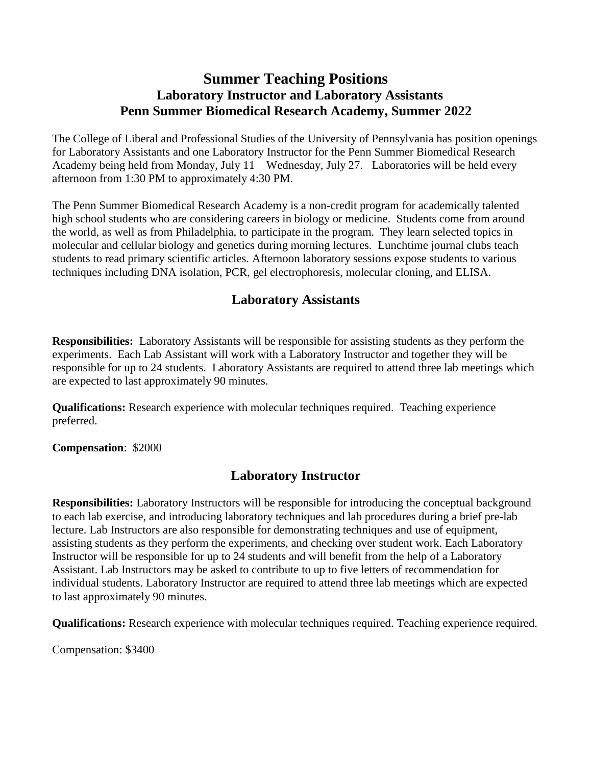## **Summer Teaching Positions Laboratory Instructor and Laboratory Assistants Penn Summer Biomedical Research Academy, Summer 2022**

The College of Liberal and Professional Studies of the University of Pennsylvania has position openings for Laboratory Assistants and one Laboratory Instructor for the Penn Summer Biomedical Research Academy being held from Monday, July 11 – Wednesday, July 27. Laboratories will be held every afternoon from 1:30 PM to approximately 4:30 PM.

The Penn Summer Biomedical Research Academy is a non-credit program for academically talented high school students who are considering careers in biology or medicine. Students come from around the world, as well as from Philadelphia, to participate in the program. They learn selected topics in molecular and cellular biology and genetics during morning lectures. Lunchtime journal clubs teach students to read primary scientific articles. Afternoon laboratory sessions expose students to various techniques including DNA isolation, PCR, gel electrophoresis, molecular cloning, and ELISA.

## **Laboratory Assistants**

**Responsibilities:** Laboratory Assistants will be responsible for assisting students as they perform the experiments. Each Lab Assistant will work with a Laboratory Instructor and together they will be responsible for up to 24 students. Laboratory Assistants are required to attend three lab meetings which are expected to last approximately 90 minutes.

**Qualifications:** Research experience with molecular techniques required. Teaching experience preferred.

**Compensation**: \$2000

## **Laboratory Instructor**

**Responsibilities:** Laboratory Instructors will be responsible for introducing the conceptual background to each lab exercise, and introducing laboratory techniques and lab procedures during a brief pre-lab lecture. Lab Instructors are also responsible for demonstrating techniques and use of equipment, assisting students as they perform the experiments, and checking over student work. Each Laboratory Instructor will be responsible for up to 24 students and will benefit from the help of a Laboratory Assistant. Lab Instructors may be asked to contribute to up to five letters of recommendation for individual students. Laboratory Instructor are required to attend three lab meetings which are expected to last approximately 90 minutes.

**Qualifications:** Research experience with molecular techniques required. Teaching experience required.

Compensation: \$3400